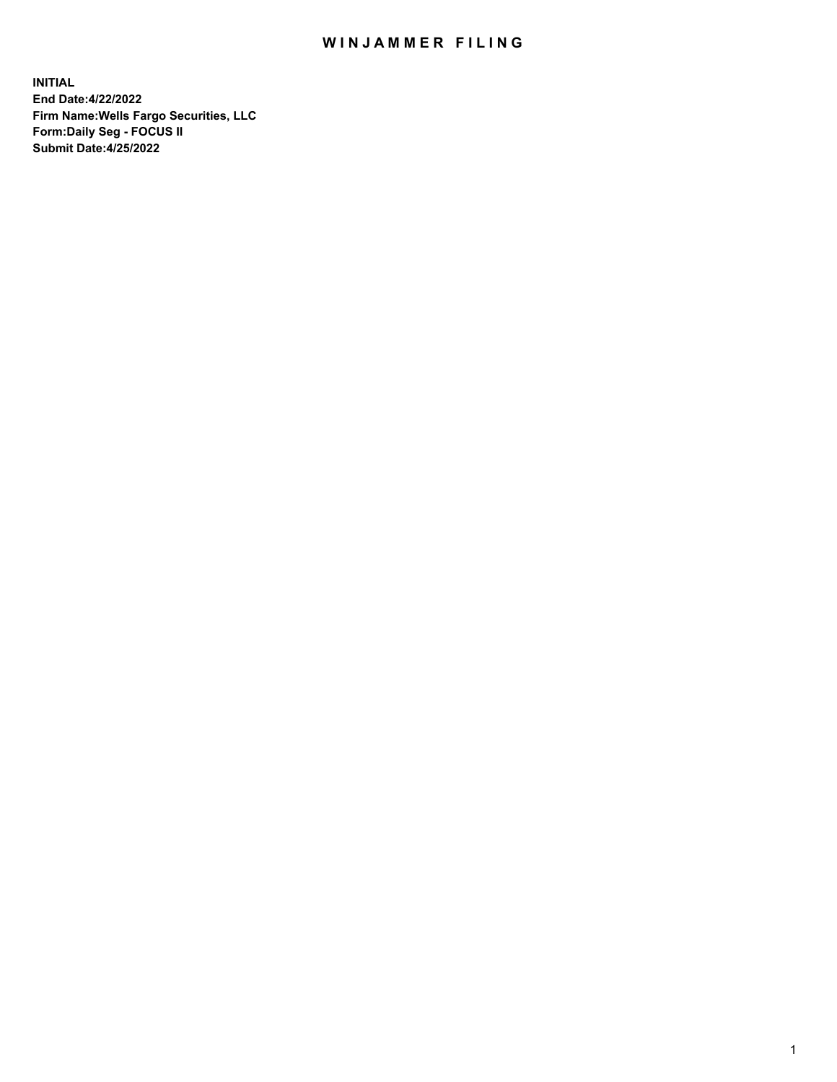## WIN JAMMER FILING

**INITIAL End Date:4/22/2022 Firm Name:Wells Fargo Securities, LLC Form:Daily Seg - FOCUS II Submit Date:4/25/2022**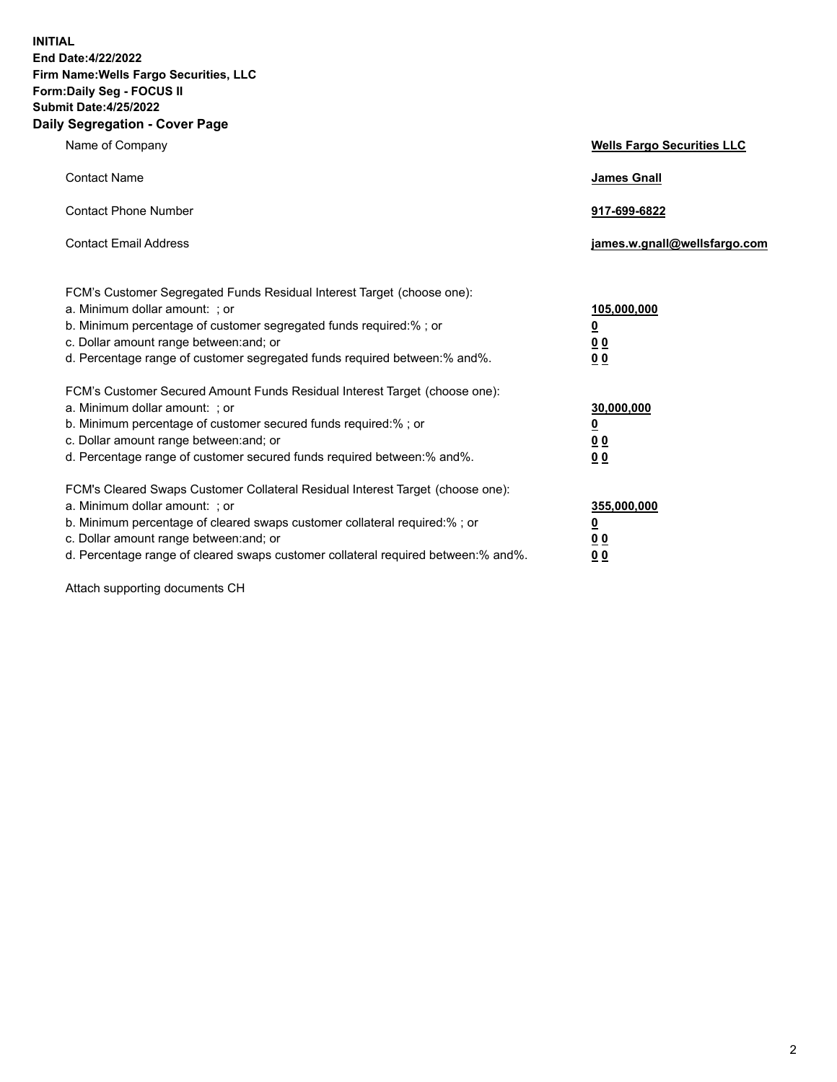**INITIAL End Date:4/22/2022 Firm Name:Wells Fargo Securities, LLC Form:Daily Seg - FOCUS II Submit Date:4/25/2022 Daily Segregation - Cover Page**

| Name of Company                                                                                                                                                                                                                                                                                                                | <b>Wells Fargo Securities LLC</b>                          |
|--------------------------------------------------------------------------------------------------------------------------------------------------------------------------------------------------------------------------------------------------------------------------------------------------------------------------------|------------------------------------------------------------|
| <b>Contact Name</b>                                                                                                                                                                                                                                                                                                            | <b>James Gnall</b>                                         |
| <b>Contact Phone Number</b>                                                                                                                                                                                                                                                                                                    | 917-699-6822                                               |
| <b>Contact Email Address</b>                                                                                                                                                                                                                                                                                                   | james.w.gnall@wellsfargo.com                               |
| FCM's Customer Segregated Funds Residual Interest Target (choose one):<br>a. Minimum dollar amount: ; or<br>b. Minimum percentage of customer segregated funds required:% ; or<br>c. Dollar amount range between: and; or<br>d. Percentage range of customer segregated funds required between:% and%.                         | 105,000,000<br><u>0</u><br>0 <sub>0</sub><br>00            |
| FCM's Customer Secured Amount Funds Residual Interest Target (choose one):<br>a. Minimum dollar amount: ; or<br>b. Minimum percentage of customer secured funds required:%; or<br>c. Dollar amount range between: and; or<br>d. Percentage range of customer secured funds required between:% and%.                            | 30,000,000<br><u>0</u><br>0 <sub>0</sub><br>0 <sub>0</sub> |
| FCM's Cleared Swaps Customer Collateral Residual Interest Target (choose one):<br>a. Minimum dollar amount: ; or<br>b. Minimum percentage of cleared swaps customer collateral required:% ; or<br>c. Dollar amount range between: and; or<br>d. Percentage range of cleared swaps customer collateral required between:% and%. | 355,000,000<br><u>0</u><br>00<br>00                        |

Attach supporting documents CH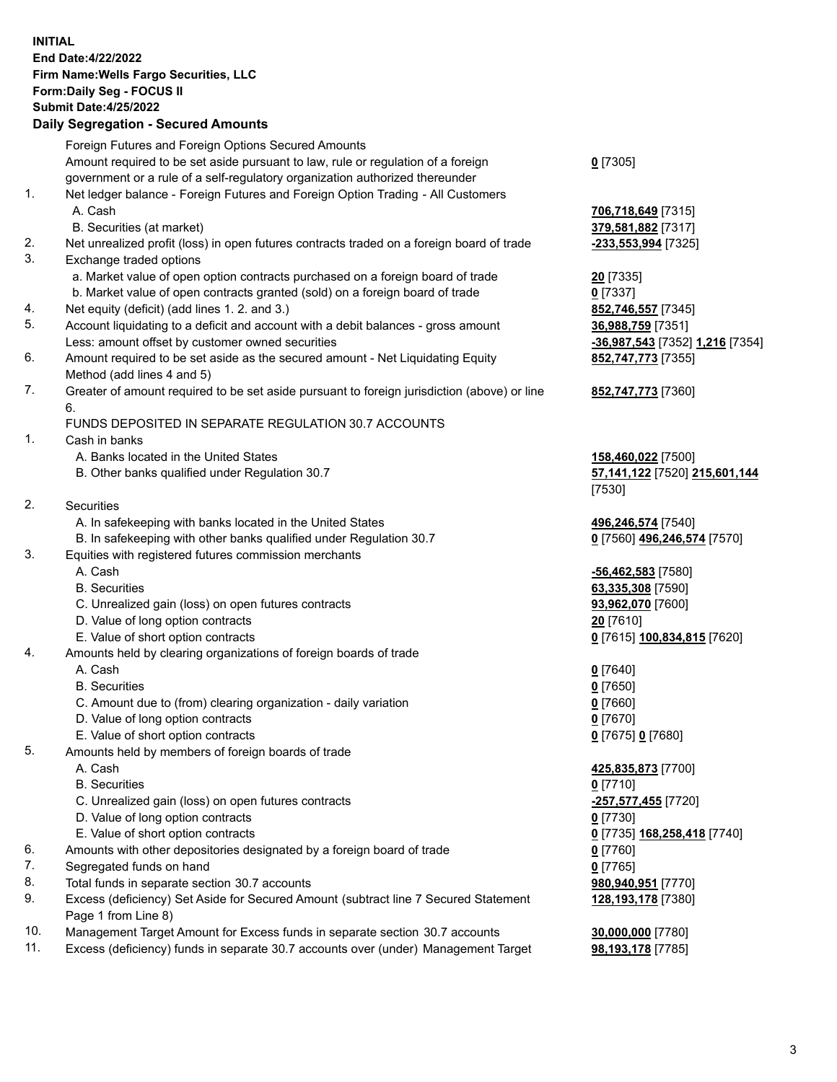**INITIAL End Date:4/22/2022 Firm Name:Wells Fargo Securities, LLC Form:Daily Seg - FOCUS II Submit Date:4/25/2022 Daily Segregation - Secured Amounts** Foreign Futures and Foreign Options Secured Amounts Amount required to be set aside pursuant to law, rule or regulation of a foreign government or a rule of a self-regulatory organization authorized thereunder 1. Net ledger balance - Foreign Futures and Foreign Option Trading - All Customers A. Cash **706,718,649** [7315] B. Securities (at market) **379,581,882** [7317] 2. Net unrealized profit (loss) in open futures contracts traded on a foreign board of trade **-233,553,994** [7325] 3. Exchange traded options a. Market value of open option contracts purchased on a foreign board of trade **20** [7335] b. Market value of open contracts granted (sold) on a foreign board of trade **0** [7337] 4. Net equity (deficit) (add lines 1. 2. and 3.) **852,746,557** [7345] 5. Account liquidating to a deficit and account with a debit balances - gross amount **36,988,759** [7351] Less: amount offset by customer owned securities **-36,987,543** [7352] **1,216** [7354] 6. Amount required to be set aside as the secured amount - Net Liquidating Equity Method (add lines 4 and 5) 7. Greater of amount required to be set aside pursuant to foreign jurisdiction (above) or line 6. FUNDS DEPOSITED IN SEPARATE REGULATION 30.7 ACCOUNTS 1. Cash in banks A. Banks located in the United States **158,460,022** [7500] B. Other banks qualified under Regulation 30.7 **57,141,122** [7520] **215,601,144** 2. Securities A. In safekeeping with banks located in the United States **496,246,574** [7540] B. In safekeeping with other banks qualified under Regulation 30.7 **0** [7560] **496,246,574** [7570]

- 3. Equities with registered futures commission merchants
	-
	-
	- C. Unrealized gain (loss) on open futures contracts **93,962,070** [7600]
	- D. Value of long option contracts **20** [7610]
	- E. Value of short option contracts **0** [7615] **100,834,815** [7620]
- 4. Amounts held by clearing organizations of foreign boards of trade
	- A. Cash **0** [7640]
	- B. Securities **0** [7650]
	- C. Amount due to (from) clearing organization daily variation **0** [7660]
	- D. Value of long option contracts **0** [7670]
	- E. Value of short option contracts **0** [7675] **0** [7680]
- 5. Amounts held by members of foreign boards of trade
	-
	- B. Securities **0** [7710]
	- C. Unrealized gain (loss) on open futures contracts **-257,577,455** [7720]
	- D. Value of long option contracts **0** [7730]
	- E. Value of short option contracts **0** [7735] **168,258,418** [7740]
- 6. Amounts with other depositories designated by a foreign board of trade **0** [7760]
- 7. Segregated funds on hand **0** [7765]
- 8. Total funds in separate section 30.7 accounts **980,940,951** [7770]
- 9. Excess (deficiency) Set Aside for Secured Amount (subtract line 7 Secured Statement Page 1 from Line 8)
- 10. Management Target Amount for Excess funds in separate section 30.7 accounts **30,000,000** [7780]
- 11. Excess (deficiency) funds in separate 30.7 accounts over (under) Management Target **98,193,178** [7785]

**0** [7305]

**852,747,773** [7355]

## **852,747,773** [7360]

[7530]

 A. Cash **-56,462,583** [7580] B. Securities **63,335,308** [7590]

 A. Cash **425,835,873** [7700] **128,193,178** [7380]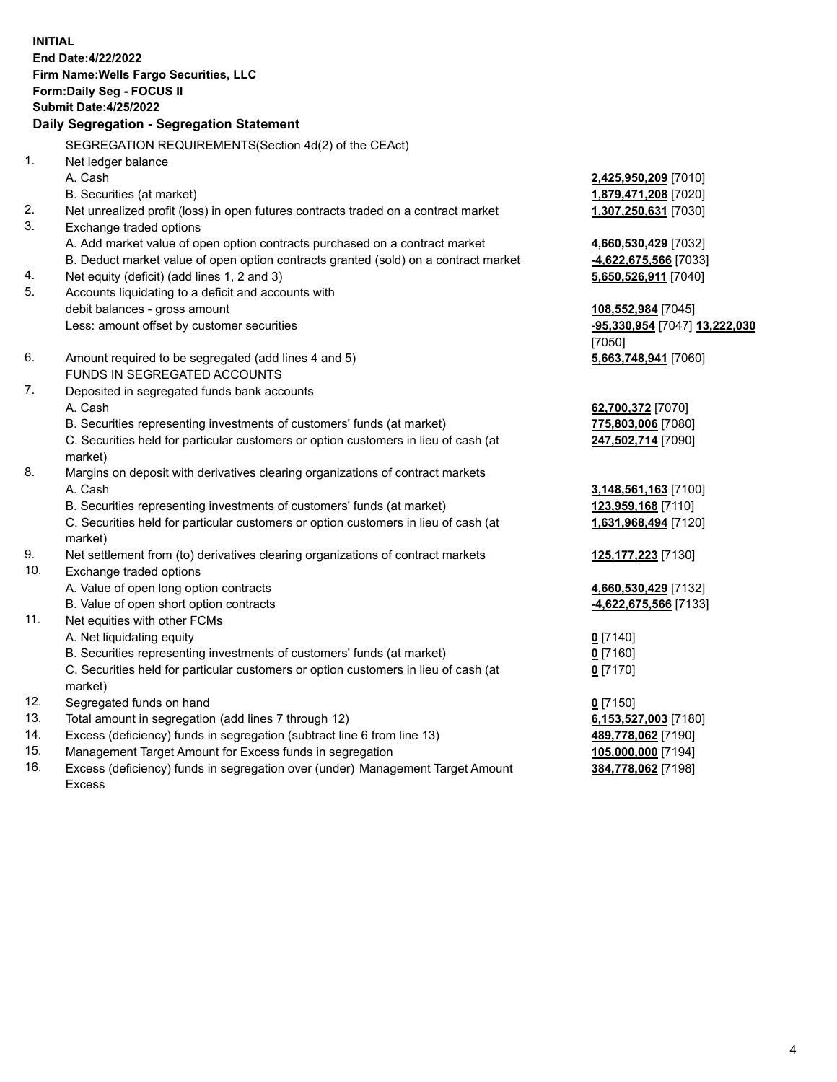**INITIAL End Date:4/22/2022 Firm Name:Wells Fargo Securities, LLC Form:Daily Seg - FOCUS II Submit Date:4/25/2022 Daily Segregation - Segregation Statement** SEGREGATION REQUIREMENTS(Section 4d(2) of the CEAct) 1. Net ledger balance A. Cash **2,425,950,209** [7010] B. Securities (at market) **1,879,471,208** [7020] 2. Net unrealized profit (loss) in open futures contracts traded on a contract market **1,307,250,631** [7030] 3. Exchange traded options A. Add market value of open option contracts purchased on a contract market **4,660,530,429** [7032] B. Deduct market value of open option contracts granted (sold) on a contract market **-4,622,675,566** [7033] 4. Net equity (deficit) (add lines 1, 2 and 3) **5,650,526,911** [7040] 5. Accounts liquidating to a deficit and accounts with debit balances - gross amount **108,552,984** [7045] Less: amount offset by customer securities **-95,330,954** [7047] **13,222,030** [7050] 6. Amount required to be segregated (add lines 4 and 5) **5,663,748,941** [7060] FUNDS IN SEGREGATED ACCOUNTS 7. Deposited in segregated funds bank accounts A. Cash **62,700,372** [7070] B. Securities representing investments of customers' funds (at market) **775,803,006** [7080] C. Securities held for particular customers or option customers in lieu of cash (at market) **247,502,714** [7090] 8. Margins on deposit with derivatives clearing organizations of contract markets A. Cash **3,148,561,163** [7100] B. Securities representing investments of customers' funds (at market) **123,959,168** [7110] C. Securities held for particular customers or option customers in lieu of cash (at market) **1,631,968,494** [7120] 9. Net settlement from (to) derivatives clearing organizations of contract markets **125,177,223** [7130] 10. Exchange traded options A. Value of open long option contracts **4,660,530,429** [7132] B. Value of open short option contracts **-4,622,675,566** [7133] 11. Net equities with other FCMs A. Net liquidating equity **0** [7140] B. Securities representing investments of customers' funds (at market) **0** [7160] C. Securities held for particular customers or option customers in lieu of cash (at market) **0** [7170] 12. Segregated funds on hand **0** [7150] 13. Total amount in segregation (add lines 7 through 12) **6,153,527,003** [7180] 14. Excess (deficiency) funds in segregation (subtract line 6 from line 13) **489,778,062** [7190]

- 15. Management Target Amount for Excess funds in segregation **105,000,000** [7194]
- 16. Excess (deficiency) funds in segregation over (under) Management Target Amount Excess

**384,778,062** [7198]